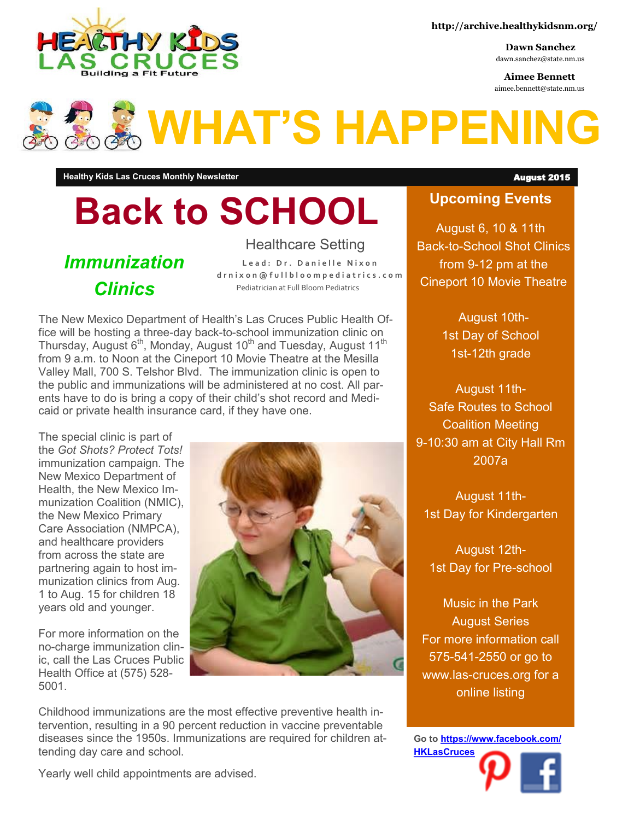

**Dawn Sanchez** dawn.sanchez@state.nm.us

**Aimee Bennett** aimee.bennett@state.nm.us

# **WHAT'S HAPPENING**

**Healthy Kids Las Cruces Monthly Newsletter** August 2015

# **Back to SCHOOL**

*Immunization Clinics*

Healthcare Setting

Lead: Dr. Danielle Nixon **d r n i x o n @ f u l l b l o o m p e d i a t r i c s . c o m** Pediatrician at Full Bloom Pediatrics

The New Mexico Department of Health's Las Cruces Public Health Office will be hosting a three-day back-to-school immunization clinic on Thursday, August 6<sup>th</sup>, Monday, August 10<sup>th</sup> and Tuesday, August 11<sup>th</sup> from 9 a.m. to Noon at the Cineport 10 Movie Theatre at the Mesilla Valley Mall, 700 S. Telshor Blvd. The immunization clinic is open to the public and immunizations will be administered at no cost. All parents have to do is bring a copy of their child's shot record and Medicaid or private health insurance card, if they have one.

The special clinic is part of the *Got Shots? Protect Tots!*  immunization campaign. The New Mexico Department of Health, the New Mexico Immunization Coalition (NMIC), the New Mexico Primary Care Association (NMPCA), and healthcare providers from across the state are partnering again to host immunization clinics from Aug. 1 to Aug. 15 for children 18 years old and younger.

For more information on the no-charge immunization clinic, call the Las Cruces Public Health Office at (575) 528- 5001.



Childhood immunizations are the most effective preventive health intervention, resulting in a 90 percent reduction in vaccine preventable diseases since the 1950s. Immunizations are required for children attending day care and school.

#### **Upcoming Events**

August 6, 10 & 11th Back-to-School Shot Clinics from 9-12 pm at the Cineport 10 Movie Theatre

> August 10th-1st Day of School 1st-12th grade

August 11th-Safe Routes to School Coalition Meeting 9-10:30 am at City Hall Rm 2007a

August 11th-1st Day for Kindergarten

August 12th-1st Day for Pre-school

Music in the Park August Series For more information call 575-541-2550 or go to www.las-cruces.org for a online listing

**Go to [https://www.facebook.com/](https://www.facebook.com/HKLasCruces?ref=hl) [HKLasCruces](https://www.facebook.com/HKLasCruces?ref=hl)**

Yearly well child appointments are advised.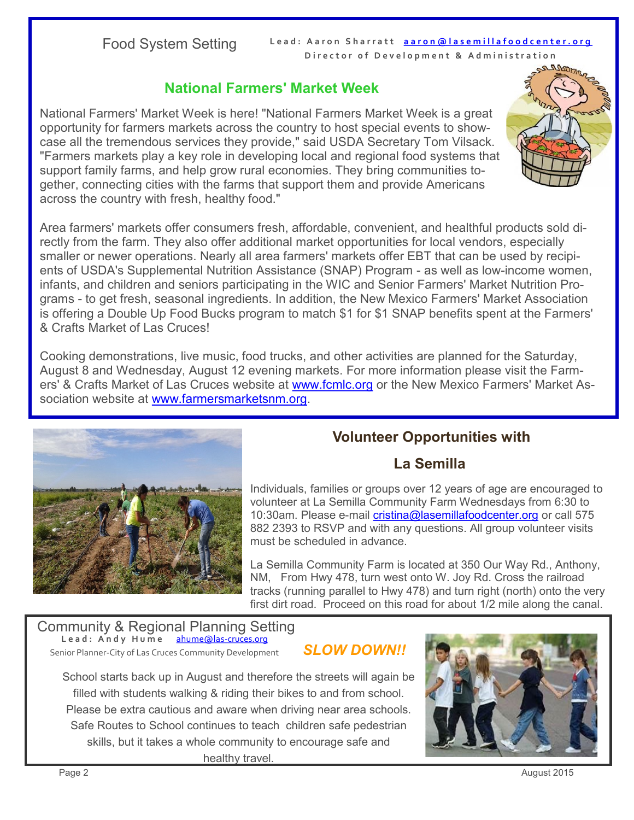Food System Setting Lead: Aaron Sharratt aaron@lasemillafoodcenter.org **Director of Development & Administration** 

#### **National Farmers' Market Week**

National Farmers' Market Week is here! "National Farmers Market Week is a great opportunity for farmers markets across the country to host special events to showcase all the tremendous services they provide," said USDA Secretary Tom Vilsack. "Farmers markets play a key role in developing local and regional food systems that support family farms, and help grow rural economies. They bring communities together, connecting cities with the farms that support them and provide Americans across the country with fresh, healthy food."



Area farmers' markets offer consumers fresh, affordable, convenient, and healthful products sold directly from the farm. They also offer additional market opportunities for local vendors, especially smaller or newer operations. Nearly all area farmers' markets offer EBT that can be used by recipients of USDA's Supplemental Nutrition Assistance (SNAP) Program - as well as low-income women, infants, and children and seniors participating in the WIC and Senior Farmers' Market Nutrition Programs - to get fresh, seasonal ingredients. In addition, the New Mexico Farmers' Market Association is offering a Double Up Food Bucks program to match \$1 for \$1 SNAP benefits spent at the Farmers' & Crafts Market of Las Cruces!

Cooking demonstrations, live music, food trucks, and other activities are planned for the Saturday, August 8 and Wednesday, August 12 evening markets. For more information please visit the Farmers' & Crafts Market of Las Cruces website at [www.fcmlc.org](http://www.fcmlc.org) or the New Mexico Farmers' Market Association website at [www.farmersmarketsnm.org.](http://www.farmersmarketsnm.org)



### **Volunteer Opportunities with**

#### **La Semilla**

Individuals, families or groups over 12 years of age are encouraged to volunteer at La Semilla Community Farm Wednesdays from 6:30 to 10:30am. Please e-mail [cristina@lasemillafoodcenter.org](mailto:cristina@lasemillafoodcenter.org) or call 575 882 2393 to RSVP and with any questions. All group volunteer visits must be scheduled in advance.

La Semilla Community Farm is located at 350 Our Way Rd., Anthony, NM, From Hwy 478, turn west onto W. Joy Rd. Cross the railroad tracks (running parallel to Hwy 478) and turn right (north) onto the very first dirt road. Proceed on this road for about 1/2 mile along the canal.

Community & Regional Planning Setting **L e a d : A n d y H u m e** [ahume@las](mailto:ahume@las-cruces.org)-cruces.org Senior Planner-City of Las Cruces Community Development

#### *SLOW DOWN!!*

School starts back up in August and therefore the streets will again be filled with students walking & riding their bikes to and from school. Please be extra cautious and aware when driving near area schools. Safe Routes to School continues to teach children safe pedestrian skills, but it takes a whole community to encourage safe and healthy travel.